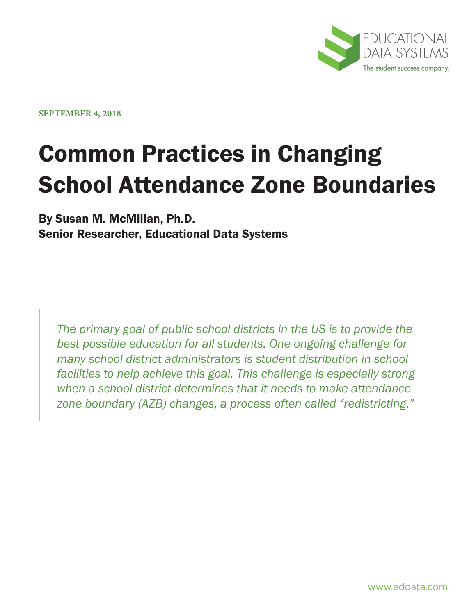

**SEPTEMBER 4, 2018**

# Common Practices in Changing School Attendance Zone Boundaries

# By Susan M. McMillan, Ph.D. Senior Researcher, Educational Data Systems

*The primary goal of public school districts in the US is to provide the best possible education for all students. One ongoing challenge for many school district administrators is student distribution in school facilities to help achieve this goal. This challenge is especially strong when a school district determines that it needs to make attendance zone boundary (AZB) changes, a process often called "redistricting."*

www.eddata.com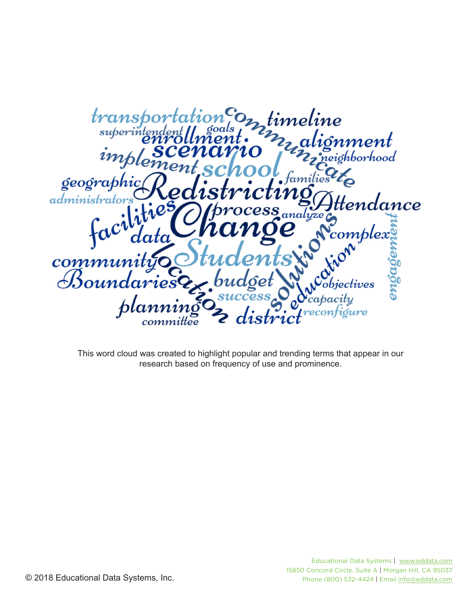

This word cloud was created to highlight popular and trending terms that appear in our research based on frequency of use and prominence.

© 2018 Educational Data Systems, Inc.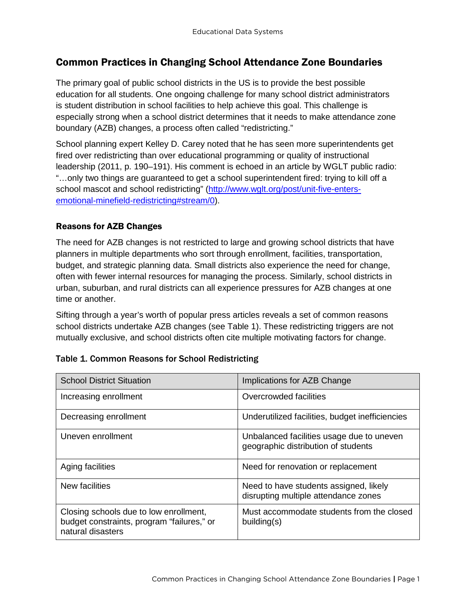# Common Practices in Changing School Attendance Zone Boundaries

The primary goal of public school districts in the US is to provide the best possible education for all students. One ongoing challenge for many school district administrators is student distribution in school facilities to help achieve this goal. This challenge is especially strong when a school district determines that it needs to make attendance zone boundary (AZB) changes, a process often called "redistricting."

School planning expert Kelley D. Carey noted that he has seen more superintendents get fired over redistricting than over educational programming or quality of instructional leadership (2011, p. 190–191). His comment is echoed in an article by WGLT public radio: "…only two things are guaranteed to get a school superintendent fired: trying to kill off a school mascot and school redistricting" [\(http://www.wglt.org/post/unit-five-enters](http://www.wglt.org/post/unit-five-enters-emotional-minefield-redistricting#stream/0)[emotional-minefield-redistricting#stream/0\)](http://www.wglt.org/post/unit-five-enters-emotional-minefield-redistricting#stream/0).

## Reasons for AZB Changes

The need for AZB changes is not restricted to large and growing school districts that have planners in multiple departments who sort through enrollment, facilities, transportation, budget, and strategic planning data. Small districts also experience the need for change, often with fewer internal resources for managing the process. Similarly, school districts in urban, suburban, and rural districts can all experience pressures for AZB changes at one time or another.

Sifting through a year's worth of popular press articles reveals a set of common reasons school districts undertake AZB changes (see Table 1). These redistricting triggers are not mutually exclusive, and school districts often cite multiple motivating factors for change.

| <b>School District Situation</b>                                                                          | Implications for AZB Change                                                      |
|-----------------------------------------------------------------------------------------------------------|----------------------------------------------------------------------------------|
| Increasing enrollment                                                                                     | Overcrowded facilities                                                           |
| Decreasing enrollment                                                                                     | Underutilized facilities, budget inefficiencies                                  |
| Uneven enrollment                                                                                         | Unbalanced facilities usage due to uneven<br>geographic distribution of students |
| Aging facilities                                                                                          | Need for renovation or replacement                                               |
| New facilities                                                                                            | Need to have students assigned, likely<br>disrupting multiple attendance zones   |
| Closing schools due to low enrollment,<br>budget constraints, program "failures," or<br>natural disasters | Must accommodate students from the closed<br>building(s)                         |

#### Table 1. Common Reasons for School Redistricting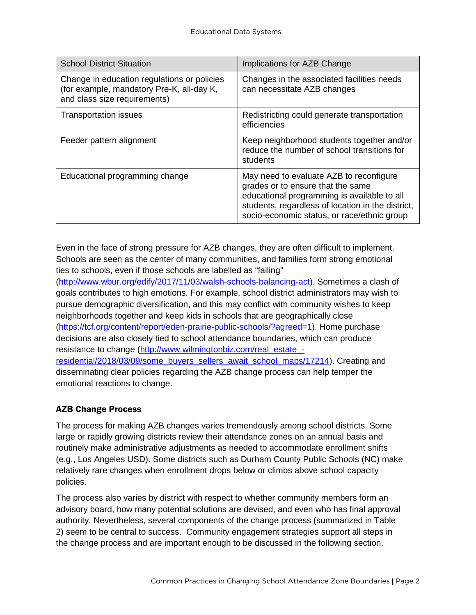| <b>School District Situation</b>                                                                                         | Implications for AZB Change                                                                                                                                                                                                     |
|--------------------------------------------------------------------------------------------------------------------------|---------------------------------------------------------------------------------------------------------------------------------------------------------------------------------------------------------------------------------|
| Change in education regulations or policies<br>(for example, mandatory Pre-K, all-day K,<br>and class size requirements) | Changes in the associated facilities needs<br>can necessitate AZB changes                                                                                                                                                       |
| <b>Transportation issues</b>                                                                                             | Redistricting could generate transportation<br>efficiencies                                                                                                                                                                     |
| Feeder pattern alignment                                                                                                 | Keep neighborhood students together and/or<br>reduce the number of school transitions for<br>students                                                                                                                           |
| Educational programming change                                                                                           | May need to evaluate AZB to reconfigure<br>grades or to ensure that the same<br>educational programming is available to all<br>students, regardless of location in the district,<br>socio-economic status, or race/ethnic group |

Even in the face of strong pressure for AZB changes, they are often difficult to implement. Schools are seen as the center of many communities, and families form strong emotional ties to schools, even if those schools are labelled as "failing"

[\(http://www.wbur.org/edify/2017/11/03/walsh-schools-balancing-act\)](http://www.wbur.org/edify/2017/11/03/walsh-schools-balancing-act). Sometimes a clash of goals contributes to high emotions. For example, school district administrators may wish to pursue demographic diversification, and this may conflict with community wishes to keep neighborhoods together and keep kids in schools that are geographically close [\(https://tcf.org/content/report/eden-prairie-public-schools/?agreed=1\)](https://tcf.org/content/report/eden-prairie-public-schools/?agreed=1). Home purchase decisions are also closely tied to school attendance boundaries, which can produce resistance to change [\(http://www.wilmingtonbiz.com/real\\_estate\\_](http://www.wilmingtonbiz.com/real_estate_-residential/2018/03/09/some_buyers_sellers_await_school_maps/17214) [residential/2018/03/09/some\\_buyers\\_sellers\\_await\\_school\\_maps/17214\)](http://www.wilmingtonbiz.com/real_estate_-residential/2018/03/09/some_buyers_sellers_await_school_maps/17214). Creating and disseminating clear policies regarding the AZB change process can help temper the emotional reactions to change.

## AZB Change Process

The process for making AZB changes varies tremendously among school districts. Some large or rapidly growing districts review their attendance zones on an annual basis and routinely make administrative adjustments as needed to accommodate enrollment shifts (e.g., Los Angeles USD). Some districts such as Durham County Public Schools (NC) make relatively rare changes when enrollment drops below or climbs above school capacity policies.

The process also varies by district with respect to whether community members form an advisory board, how many potential solutions are devised, and even who has final approval authority. Nevertheless, several components of the change process (summarized in Table 2) seem to be central to success. Community engagement strategies support all steps in the change process and are important enough to be discussed in the following section.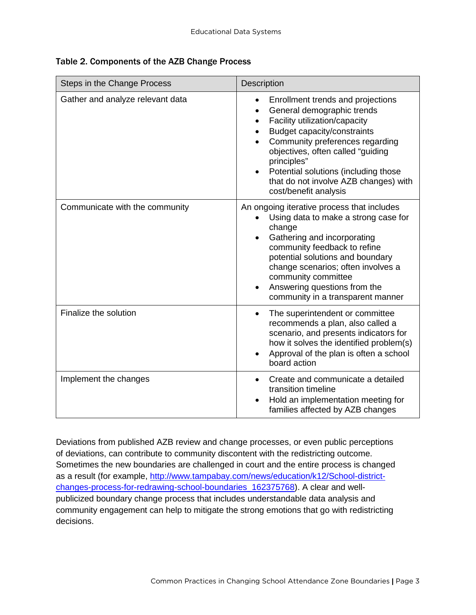|  |  |  | Table 2. Components of the AZB Change Process |
|--|--|--|-----------------------------------------------|
|--|--|--|-----------------------------------------------|

| Steps in the Change Process      | Description                                                                                                                                                                                                                                                                                                                                                                                       |  |
|----------------------------------|---------------------------------------------------------------------------------------------------------------------------------------------------------------------------------------------------------------------------------------------------------------------------------------------------------------------------------------------------------------------------------------------------|--|
| Gather and analyze relevant data | Enrollment trends and projections<br>$\bullet$<br>General demographic trends<br>$\bullet$<br>Facility utilization/capacity<br>$\bullet$<br>Budget capacity/constraints<br>$\bullet$<br>Community preferences regarding<br>objectives, often called "guiding<br>principles"<br>Potential solutions (including those<br>$\bullet$<br>that do not involve AZB changes) with<br>cost/benefit analysis |  |
| Communicate with the community   | An ongoing iterative process that includes<br>Using data to make a strong case for<br>change<br>Gathering and incorporating<br>$\bullet$<br>community feedback to refine<br>potential solutions and boundary<br>change scenarios; often involves a<br>community committee<br>Answering questions from the<br>$\bullet$<br>community in a transparent manner                                       |  |
| Finalize the solution            | The superintendent or committee<br>$\bullet$<br>recommends a plan, also called a<br>scenario, and presents indicators for<br>how it solves the identified problem(s)<br>Approval of the plan is often a school<br>board action                                                                                                                                                                    |  |
| Implement the changes            | Create and communicate a detailed<br>$\bullet$<br>transition timeline<br>Hold an implementation meeting for<br>families affected by AZB changes                                                                                                                                                                                                                                                   |  |

Deviations from published AZB review and change processes, or even public perceptions of deviations, can contribute to community discontent with the redistricting outcome. Sometimes the new boundaries are challenged in court and the entire process is changed as a result (for example, [http://www.tampabay.com/news/education/k12/School-district](http://www.tampabay.com/news/education/k12/School-district-changes-process-for-redrawing-school-boundaries_162375768)[changes-process-for-redrawing-school-boundaries\\_162375768\)](http://www.tampabay.com/news/education/k12/School-district-changes-process-for-redrawing-school-boundaries_162375768). A clear and wellpublicized boundary change process that includes understandable data analysis and community engagement can help to mitigate the strong emotions that go with redistricting decisions.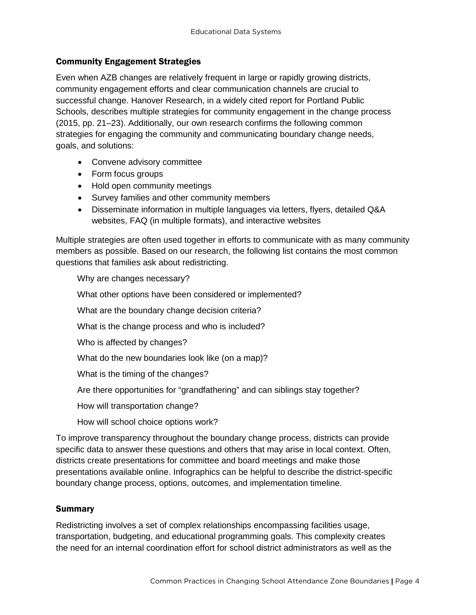### Community Engagement Strategies

Even when AZB changes are relatively frequent in large or rapidly growing districts, community engagement efforts and clear communication channels are crucial to successful change. Hanover Research, in a widely cited report for Portland Public Schools, describes multiple strategies for community engagement in the change process (2015, pp. 21–23). Additionally, our own research confirms the following common strategies for engaging the community and communicating boundary change needs, goals, and solutions:

- Convene advisory committee
- Form focus groups
- Hold open community meetings
- Survey families and other community members
- Disseminate information in multiple languages via letters, flyers, detailed Q&A websites, FAQ (in multiple formats), and interactive websites

Multiple strategies are often used together in efforts to communicate with as many community members as possible. Based on our research, the following list contains the most common questions that families ask about redistricting.

Why are changes necessary?

What other options have been considered or implemented?

What are the boundary change decision criteria?

What is the change process and who is included?

Who is affected by changes?

What do the new boundaries look like (on a map)?

What is the timing of the changes?

Are there opportunities for "grandfathering" and can siblings stay together?

How will transportation change?

How will school choice options work?

To improve transparency throughout the boundary change process, districts can provide specific data to answer these questions and others that may arise in local context. Often, districts create presentations for committee and board meetings and make those presentations available online. Infographics can be helpful to describe the district-specific boundary change process, options, outcomes, and implementation timeline.

#### **Summary**

Redistricting involves a set of complex relationships encompassing facilities usage, transportation, budgeting, and educational programming goals. This complexity creates the need for an internal coordination effort for school district administrators as well as the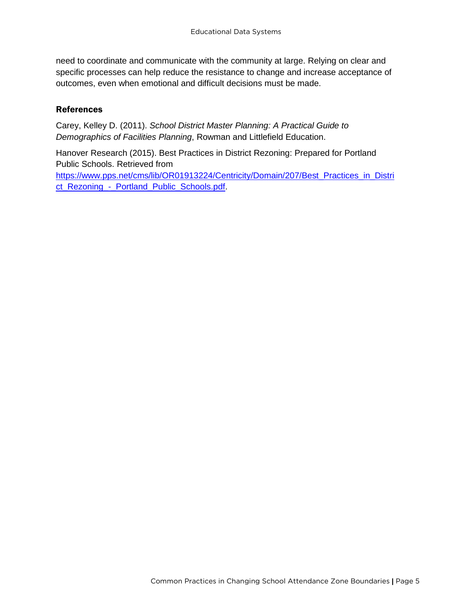need to coordinate and communicate with the community at large. Relying on clear and specific processes can help reduce the resistance to change and increase acceptance of outcomes, even when emotional and difficult decisions must be made.

### References

Carey, Kelley D. (2011). *School District Master Planning: A Practical Guide to Demographics of Facilities Planning*, Rowman and Littlefield Education.

Hanover Research (2015). Best Practices in District Rezoning: Prepared for Portland Public Schools. Retrieved from [https://www.pps.net/cms/lib/OR01913224/Centricity/Domain/207/Best\\_Practices\\_in\\_Distri](https://www.pps.net/cms/lib/OR01913224/Centricity/Domain/207/Best_Practices_in_District_Rezoning_-_Portland_Public_Schools.pdf) ct\_Rezoning - Portland\_Public\_Schools.pdf.